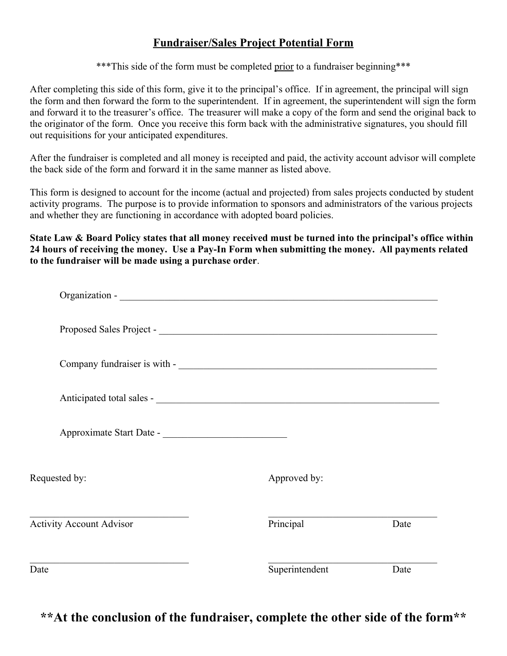## **Fundraiser/Sales Project Potential Form**

\*\*\*This side of the form must be completed prior to a fundraiser beginning\*\*\*

After completing this side of this form, give it to the principal's office. If in agreement, the principal will sign the form and then forward the form to the superintendent. If in agreement, the superintendent will sign the form and forward it to the treasurer's office. The treasurer will make a copy of the form and send the original back to the originator of the form. Once you receive this form back with the administrative signatures, you should fill out requisitions for your anticipated expenditures.

After the fundraiser is completed and all money is receipted and paid, the activity account advisor will complete the back side of the form and forward it in the same manner as listed above.

This form is designed to account for the income (actual and projected) from sales projects conducted by student activity programs. The purpose is to provide information to sponsors and administrators of the various projects and whether they are functioning in accordance with adopted board policies.

**State Law & Board Policy states that all money received must be turned into the principal's office within 24 hours of receiving the money. Use a Pay-In Form when submitting the money. All payments related to the fundraiser will be made using a purchase order**.

| Requested by:                   | Approved by:   |      |
|---------------------------------|----------------|------|
| <b>Activity Account Advisor</b> | Principal      | Date |
| Date                            | Superintendent | Date |

**\*\*At the conclusion of the fundraiser, complete the other side of the form\*\***